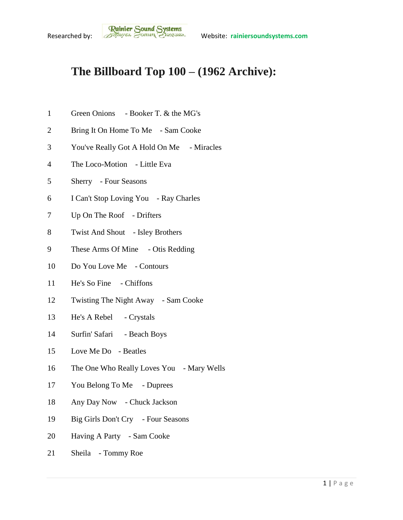## **The Billboard Top 100 – (1962 Archive):**

- Green Onions Booker T. & the MG's
- Bring It On Home To Me Sam Cooke
- You've Really Got A Hold On Me Miracles
- The Loco-Motion Little Eva
- Sherry Four Seasons
- I Can't Stop Loving You Ray Charles
- Up On The Roof Drifters
- Twist And Shout Isley Brothers
- 9 These Arms Of Mine Otis Redding
- Do You Love Me Contours
- He's So Fine Chiffons
- Twisting The Night Away Sam Cooke
- He's A Rebel Crystals
- Surfin' Safari Beach Boys
- Love Me Do Beatles
- 16 The One Who Really Loves You Mary Wells
- You Belong To Me Duprees
- Any Day Now Chuck Jackson
- Big Girls Don't Cry Four Seasons
- Having A Party Sam Cooke
- Sheila Tommy Roe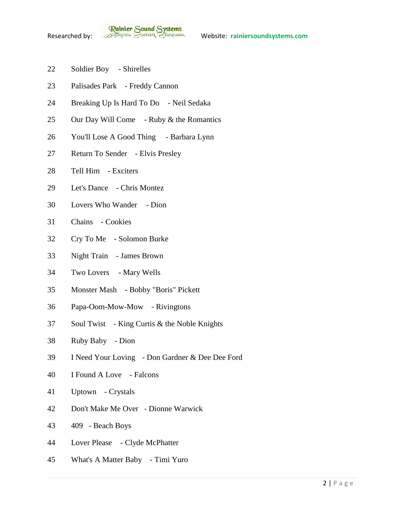- Soldier Boy Shirelles
- Palisades Park Freddy Cannon
- Breaking Up Is Hard To Do Neil Sedaka
- 25 Our Day Will Come Ruby & the Romantics
- You'll Lose A Good Thing Barbara Lynn
- Return To Sender Elvis Presley
- Tell Him Exciters
- Let's Dance Chris Montez
- Lovers Who Wander Dion
- Chains Cookies
- Cry To Me Solomon Burke
- Night Train James Brown
- Two Lovers Mary Wells
- Monster Mash Bobby "Boris" Pickett
- Papa-Oom-Mow-Mow Rivingtons
- Soul Twist King Curtis & the Noble Knights
- Ruby Baby Dion
- I Need Your Loving Don Gardner & Dee Dee Ford
- I Found A Love Falcons
- Uptown Crystals
- Don't Make Me Over Dionne Warwick
- 409 Beach Boys
- Lover Please Clyde McPhatter
- What's A Matter Baby Timi Yuro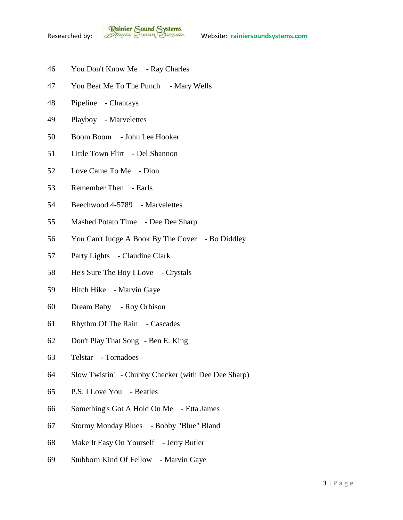- You Don't Know Me Ray Charles
- 47 You Beat Me To The Punch Mary Wells
- Pipeline Chantays
- Playboy Marvelettes
- Boom Boom John Lee Hooker
- Little Town Flirt Del Shannon
- Love Came To Me Dion
- Remember Then Earls
- Beechwood 4-5789 Marvelettes
- Mashed Potato Time Dee Dee Sharp
- You Can't Judge A Book By The Cover Bo Diddley
- Party Lights Claudine Clark
- He's Sure The Boy I Love Crystals
- Hitch Hike Marvin Gaye
- Dream Baby Roy Orbison
- Rhythm Of The Rain Cascades
- Don't Play That Song Ben E. King
- Telstar Tornadoes
- Slow Twistin' Chubby Checker (with Dee Dee Sharp)
- P.S. I Love You Beatles
- Something's Got A Hold On Me Etta James
- Stormy Monday Blues Bobby "Blue" Bland
- Make It Easy On Yourself Jerry Butler
- Stubborn Kind Of Fellow Marvin Gaye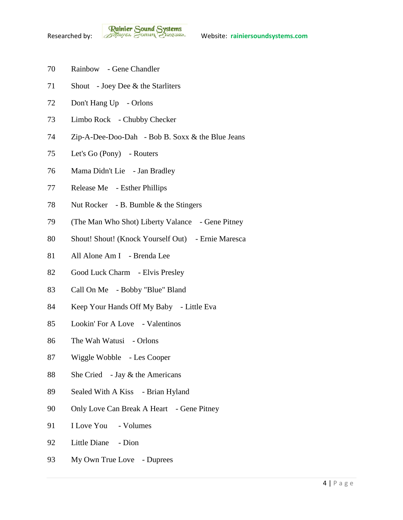- Rainbow Gene Chandler
- Shout Joey Dee & the Starliters
- 72 Don't Hang Up Orlons
- Limbo Rock Chubby Checker
- Zip-A-Dee-Doo-Dah Bob B. Soxx & the Blue Jeans
- Let's Go (Pony) Routers
- Mama Didn't Lie Jan Bradley
- Release Me Esther Phillips
- Nut Rocker B. Bumble & the Stingers
- (The Man Who Shot) Liberty Valance Gene Pitney
- Shout! Shout! (Knock Yourself Out) Ernie Maresca
- All Alone Am I Brenda Lee
- Good Luck Charm Elvis Presley
- Call On Me Bobby "Blue" Bland
- Keep Your Hands Off My Baby Little Eva
- Lookin' For A Love Valentinos
- The Wah Watusi Orlons
- Wiggle Wobble Les Cooper
- She Cried Jay & the Americans
- Sealed With A Kiss Brian Hyland
- 90 Only Love Can Break A Heart Gene Pitney
- I Love You Volumes
- Little Diane Dion
- 93 My Own True Love Duprees